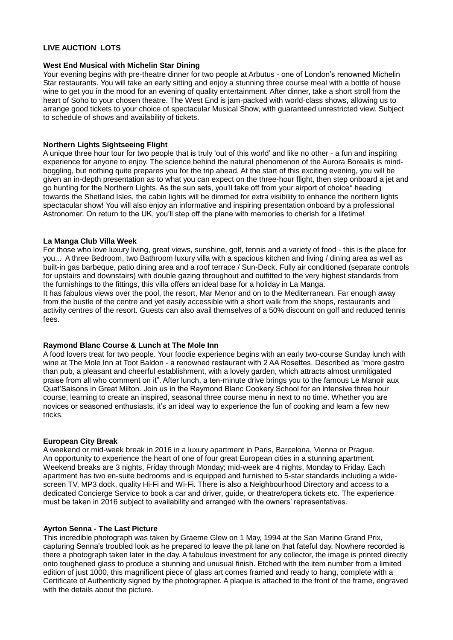## **LIVE AUCTION LOTS**

#### **West End Musical with Michelin Star Dining**

Your evening begins with pre-theatre dinner for two people at Arbutus - one of London's renowned Michelin Star restaurants. You will take an early sitting and enjoy a stunning three course meal with a bottle of house wine to get you in the mood for an evening of quality entertainment. After dinner, take a short stroll from the heart of Soho to your chosen theatre. The West End is jam-packed with world-class shows, allowing us to arrange good tickets to your choice of spectacular Musical Show, with guaranteed unrestricted view. Subject to schedule of shows and availability of tickets.

## **Northern Lights Sightseeing Flight**

A unique three hour tour for two people that is truly 'out of this world' and like no other - a fun and inspiring experience for anyone to enjoy. The science behind the natural phenomenon of the Aurora Borealis is mindboggling, but nothing quite prepares you for the trip ahead. At the start of this exciting evening, you will be given an in-depth presentation as to what you can expect on the three-hour flight, then step onboard a jet and go hunting for the Northern Lights. As the sun sets, you'll take off from your airport of choice\* heading towards the Shetland Isles, the cabin lights will be dimmed for extra visibility to enhance the northern lights spectacular show! You will also enjoy an informative and inspiring presentation onboard by a professional Astronomer. On return to the UK, you'll step off the plane with memories to cherish for a lifetime!

## **La Manga Club Villa Week**

For those who love luxury living, great views, sunshine, golf, tennis and a variety of food - this is the place for you... A three Bedroom, two Bathroom luxury villa with a spacious kitchen and living / dining area as well as built-in gas barbeque, patio dining area and a roof terrace / Sun-Deck. Fully air conditioned (separate controls for upstairs and downstairs) with double gazing throughout and outfitted to the very highest standards from the furnishings to the fittings, this villa offers an ideal base for a holiday in La Manga.

It has fabulous views over the pool, the resort, Mar Menor and on to the Mediterranean. Far enough away from the bustle of the centre and yet easily accessible with a short walk from the shops, restaurants and activity centres of the resort. Guests can also avail themselves of a 50% discount on golf and reduced tennis fees.

## **Raymond Blanc Course & Lunch at The Mole Inn**

A food lovers treat for two people. Your foodie experience begins with an early two-course Sunday lunch with wine at The Mole Inn at Toot Baldon - a renowned restaurant with 2 AA Rosettes. Described as "more gastro than pub, a pleasant and cheerful establishment, with a lovely garden, which attracts almost unmitigated praise from all who comment on it". After lunch, a ten-minute drive brings you to the famous Le Manoir aux Quat'Saisons in Great Milton. Join us in the Raymond Blanc Cookery School for an intensive three hour course, learning to create an inspired, seasonal three course menu in next to no time. Whether you are novices or seasoned enthusiasts, it's an ideal way to experience the fun of cooking and learn a few new tricks.

## **European City Break**

A weekend or mid-week break in 2016 in a luxury apartment in Paris, Barcelona, Vienna or Prague. An opportunity to experience the heart of one of four great European cities in a stunning apartment. Weekend breaks are 3 nights, Friday through Monday; mid-week are 4 nights, Monday to Friday. Each apartment has two en-suite bedrooms and is equipped and furnished to 5-star standards including a widescreen TV, MP3 dock, quality Hi-Fi and Wi-Fi. There is also a Neighbourhood Directory and access to a dedicated Concierge Service to book a car and driver, guide, or theatre/opera tickets etc. The experience must be taken in 2016 subject to availability and arranged with the owners' representatives.

#### **Ayrton Senna - The Last Picture**

This incredible photograph was taken by Graeme Glew on 1 May, 1994 at the San Marino Grand Prix, capturing Senna's troubled look as he prepared to leave the pit lane on that fateful day. Nowhere recorded is there a photograph taken later in the day. A fabulous investment for any collector, the image is printed directly onto toughened glass to produce a stunning and unusual finish. Etched with the item number from a limited edition of just 1000, this magnificent piece of glass art comes framed and ready to hang, complete with a Certificate of Authenticity signed by the photographer. A plaque is attached to the front of the frame, engraved with the details about the picture.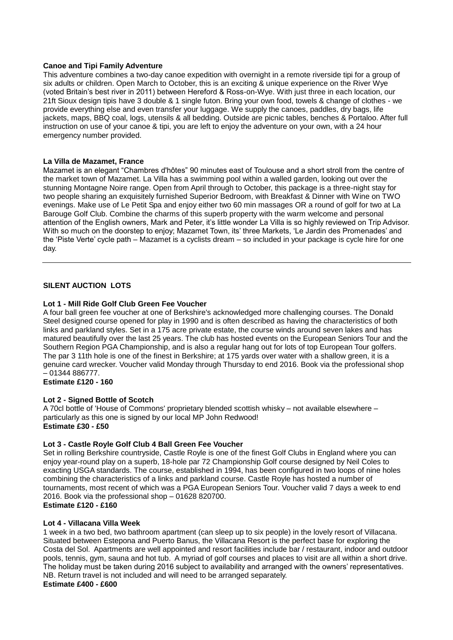## **Canoe and Tipi Family Adventure**

This adventure combines a two-day canoe expedition with overnight in a remote riverside tipi for a group of six adults or children. Open March to October, this is an exciting & unique experience on the River Wye (voted Britain's best river in 2011) between Hereford & Ross-on-Wye. With just three in each location, our 21ft Sioux design tipis have 3 double & 1 single futon. Bring your own food, towels & change of clothes - we provide everything else and even transfer your luggage. We supply the canoes, paddles, dry bags, life jackets, maps, BBQ coal, logs, utensils & all bedding. Outside are picnic tables, benches & Portaloo. After full instruction on use of your canoe & tipi, you are left to enjoy the adventure on your own, with a 24 hour emergency number provided.

## **La Villa de Mazamet, France**

Mazamet is an elegant "Chambres d'hôtes" 90 minutes east of Toulouse and a short stroll from the centre of the market town of Mazamet. La Villa has a swimming pool within a walled garden, looking out over the stunning Montagne Noire range. Open from April through to October, this package is a three-night stay for two people sharing an exquisitely furnished Superior Bedroom, with Breakfast & Dinner with Wine on TWO evenings. Make use of Le Petit Spa and enjoy either two 60 min massages OR a round of golf for two at La Barouge Golf Club. Combine the charms of this superb property with the warm welcome and personal attention of the English owners, Mark and Peter, it's little wonder La Villa is so highly reviewed on Trip Advisor. With so much on the doorstep to enjoy; Mazamet Town, its' three Markets, 'Le Jardin des Promenades' and the 'Piste Verte' cycle path – Mazamet is a cyclists dream – so included in your package is cycle hire for one day.

# **SILENT AUCTION LOTS**

## **Lot 1 - Mill Ride Golf Club Green Fee Voucher**

A four ball green fee voucher at one of Berkshire's acknowledged more challenging courses. The Donald Steel designed course opened for play in 1990 and is often described as having the characteristics of both links and parkland styles. Set in a 175 acre private estate, the course winds around seven lakes and has matured beautifully over the last 25 years. The club has hosted events on the European Seniors Tour and the Southern Region PGA Championship, and is also a regular hang out for lots of top European Tour golfers. The par 3 11th hole is one of the finest in Berkshire; at 175 yards over water with a shallow green, it is a genuine card wrecker. Voucher valid Monday through Thursday to end 2016. Book via the professional shop – 01344 886777.

**Estimate £120 - 160** 

## **Lot 2 - Signed Bottle of Scotch**

A 70cl bottle of 'House of Commons' proprietary blended scottish whisky – not available elsewhere – particularly as this one is signed by our local MP John Redwood! **Estimate £30 - £50** 

## **Lot 3 - Castle Royle Golf Club 4 Ball Green Fee Voucher**

Set in rolling Berkshire countryside, Castle Royle is one of the finest Golf Clubs in England where you can enjoy year-round play on a superb, 18-hole par 72 Championship Golf course designed by Neil Coles to exacting USGA standards. The course, established in 1994, has been configured in two loops of nine holes combining the characteristics of a links and parkland course. Castle Royle has hosted a number of tournaments, most recent of which was a PGA European Seniors Tour. Voucher valid 7 days a week to end 2016. Book via the professional shop – 01628 820700. **Estimate £120 - £160** 

# **Lot 4 - Villacana Villa Week**

1 week in a two bed, two bathroom apartment (can sleep up to six people) in the lovely resort of Villacana. Situated between Estepona and Puerto Banus, the Villacana Resort is the perfect base for exploring the Costa del Sol. Apartments are well appointed and resort facilities include bar / restaurant, indoor and outdoor pools, tennis, gym, sauna and hot tub. A myriad of golf courses and places to visit are all within a short drive. The holiday must be taken during 2016 subject to availability and arranged with the owners' representatives. NB. Return travel is not included and will need to be arranged separately. **Estimate £400 - £600**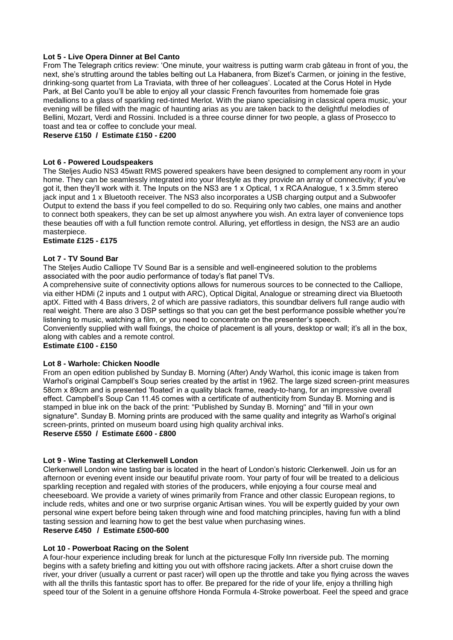## **Lot 5 - Live Opera Dinner at Bel Canto**

From The Telegraph critics review: 'One minute, your waitress is putting warm crab gâteau in front of you, the next, she's strutting around the tables belting out La Habanera, from Bizet's Carmen, or joining in the festive, drinking-song quartet from La Traviata, with three of her colleagues'. Located at the Corus Hotel in Hyde Park, at Bel Canto you'll be able to enjoy all your classic French favourites from homemade foie gras medallions to a glass of sparkling red-tinted Merlot. With the piano specialising in classical opera music, your evening will be filled with the magic of haunting arias as you are taken back to the delightful melodies of Bellini, Mozart, Verdi and Rossini. Included is a three course dinner for two people, a glass of Prosecco to toast and tea or coffee to conclude your meal.

**Reserve £150 / Estimate £150 - £200**

## **Lot 6 - Powered Loudspeakers**

The Steljes Audio NS3 45watt RMS powered speakers have been designed to complement any room in your home. They can be seamlessly integrated into your lifestyle as they provide an array of connectivity; if you've got it, then they'll work with it. The Inputs on the NS3 are 1 x Optical, 1 x RCA Analogue, 1 x 3.5mm stereo jack input and 1 x Bluetooth receiver. The NS3 also incorporates a USB charging output and a Subwoofer Output to extend the bass if you feel compelled to do so. Requiring only two cables, one mains and another to connect both speakers, they can be set up almost anywhere you wish. An extra layer of convenience tops these beauties off with a full function remote control. Alluring, yet effortless in design, the NS3 are an audio masterpiece.

## **Estimate £125 - £175**

## **Lot 7 - TV Sound Bar**

The Steljes Audio Calliope TV Sound Bar is a sensible and well-engineered solution to the problems associated with the poor audio performance of today's flat panel TVs.

A comprehensive suite of connectivity options allows for numerous sources to be connected to the Calliope, via either HDMi (2 inputs and 1 output with ARC), Optical Digital, Analogue or streaming direct via Bluetooth aptX. Fitted with 4 Bass drivers, 2 of which are passive radiators, this soundbar delivers full range audio with real weight. There are also 3 DSP settings so that you can get the best performance possible whether you're listening to music, watching a film, or you need to concentrate on the presenter's speech.

Conveniently supplied with wall fixings, the choice of placement is all yours, desktop or wall; it's all in the box, along with cables and a remote control.

# **Estimate £100 - £150**

## **Lot 8 - Warhole: Chicken Noodle**

From an open edition published by Sunday B. Morning (After) Andy Warhol, this iconic image is taken from Warhol's original Campbell's Soup series created by the artist in 1962. The large sized screen-print measures 58cm x 89cm and is presented 'floated' in a quality black frame, ready-to-hang, for an impressive overall effect. Campbell's Soup Can 11.45 comes with a certificate of authenticity from Sunday B. Morning and is stamped in blue ink on the back of the print: "Published by Sunday B. Morning" and "fill in your own signature". Sunday B. Morning prints are produced with the same quality and integrity as Warhol's original screen-prints, printed on museum board using high quality archival inks.

# **Reserve £550 / Estimate £600 - £800**

## **Lot 9 - Wine Tasting at Clerkenwell London**

Clerkenwell London wine tasting bar is located in the heart of London's historic Clerkenwell. Join us for an afternoon or evening event inside our beautiful private room. Your party of four will be treated to a delicious sparkling reception and regaled with stories of the producers, while enjoying a four course meal and cheeseboard. We provide a variety of wines primarily from France and other classic European regions, to include reds, whites and one or two surprise organic Artisan wines. You will be expertly guided by your own personal wine expert before being taken through wine and food matching principles, having fun with a blind tasting session and learning how to get the best value when purchasing wines.

# **Reserve £450 / Estimate £500-600**

## **Lot 10 - Powerboat Racing on the Solent**

A four-hour experience including break for lunch at the picturesque Folly Inn riverside pub. The morning begins with a safety briefing and kitting you out with offshore racing jackets. After a short cruise down the river, your driver (usually a current or past racer) will open up the throttle and take you flying across the waves with all the thrills this fantastic sport has to offer. Be prepared for the ride of your life, enjoy a thrilling high speed tour of the Solent in a genuine offshore Honda Formula 4-Stroke powerboat. Feel the speed and grace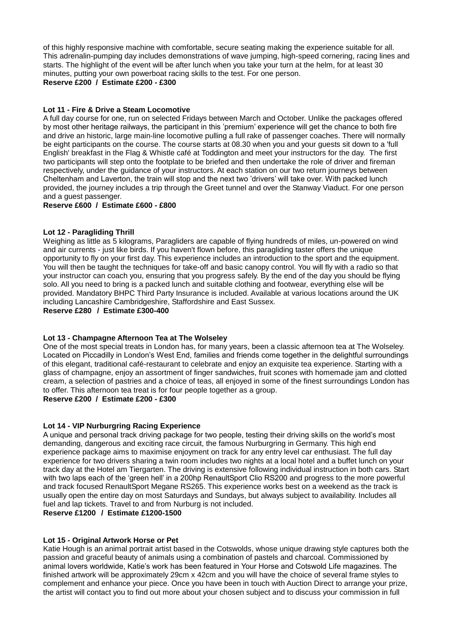of this highly responsive machine with comfortable, secure seating making the experience suitable for all. This adrenalin-pumping day includes demonstrations of wave jumping, high-speed cornering, racing lines and starts. The highlight of the event will be after lunch when you take your turn at the helm, for at least 30 minutes, putting your own powerboat racing skills to the test. For one person.

**Reserve £200 / Estimate £200 - £300**

# **Lot 11 - Fire & Drive a Steam Locomotive**

A full day course for one, run on selected Fridays between March and October. Unlike the packages offered by most other heritage railways, the participant in this 'premium' experience will get the chance to both fire and drive an historic, large main-line locomotive pulling a full rake of passenger coaches. There will normally be eight participants on the course. The course starts at 08.30 when you and your guests sit down to a 'full English' breakfast in the Flag & Whistle café at Toddington and meet your instructors for the day. The first two participants will step onto the footplate to be briefed and then undertake the role of driver and fireman respectively, under the guidance of your instructors. At each station on our two return journeys between Cheltenham and Laverton, the train will stop and the next two 'drivers' will take over. With packed lunch provided, the journey includes a trip through the Greet tunnel and over the Stanway Viaduct. For one person and a guest passenger.

# **Reserve £600 / Estimate £600 - £800**

## **Lot 12 - Paragliding Thrill**

Weighing as little as 5 kilograms, Paragliders are capable of flying hundreds of miles, un-powered on wind and air currents - just like birds. If you haven't flown before, this paragliding taster offers the unique opportunity to fly on your first day. This experience includes an introduction to the sport and the equipment. You will then be taught the techniques for take-off and basic canopy control. You will fly with a radio so that your instructor can coach you, ensuring that you progress safely. By the end of the day you should be flying solo. All you need to bring is a packed lunch and suitable clothing and footwear, everything else will be provided. Mandatory BHPC Third Party Insurance is included. Available at various locations around the UK including Lancashire Cambridgeshire, Staffordshire and East Sussex.

## **Reserve £280 / Estimate £300-400**

## **Lot 13 - Champagne Afternoon Tea at The Wolseley**

One of the most special treats in London has, for many years, been a classic afternoon tea at The Wolseley. Located on Piccadilly in London's West End, families and friends come together in the delightful surroundings of this elegant, traditional café-restaurant to celebrate and enjoy an exquisite tea experience. Starting with a glass of champagne, enjoy an assortment of finger sandwiches, fruit scones with homemade jam and clotted cream, a selection of pastries and a choice of teas, all enjoyed in some of the finest surroundings London has to offer. This afternoon tea treat is for four people together as a group.

# **Reserve £200 / Estimate £200 - £300**

## **Lot 14 - VIP Nurburgring Racing Experience**

A unique and personal track driving package for two people, testing their driving skills on the world's most demanding, dangerous and exciting race circuit, the famous Nurburgring in Germany. This high end experience package aims to maximise enjoyment on track for any entry level car enthusiast. The full day experience for two drivers sharing a twin room includes two nights at a local hotel and a buffet lunch on your track day at the Hotel am Tiergarten. The driving is extensive following individual instruction in both cars. Start with two laps each of the 'green hell' in a 200hp RenaultSport Clio RS200 and progress to the more powerful and track focused RenaultSport Megane RS265. This experience works best on a weekend as the track is usually open the entire day on most Saturdays and Sundays, but always subject to availability. Includes all fuel and lap tickets. Travel to and from Nurburg is not included.

**Reserve £1200 / Estimate £1200-1500**

## **Lot 15 - Original Artwork Horse or Pet**

Katie Hough is an animal portrait artist based in the Cotswolds, whose unique drawing style captures both the passion and graceful beauty of animals using a combination of pastels and charcoal. Commissioned by animal lovers worldwide, Katie's work has been featured in Your Horse and Cotswold Life magazines. The finished artwork will be approximately 29cm x 42cm and you will have the choice of several frame styles to complement and enhance your piece. Once you have been in touch with Auction Direct to arrange your prize, the artist will contact you to find out more about your chosen subject and to discuss your commission in full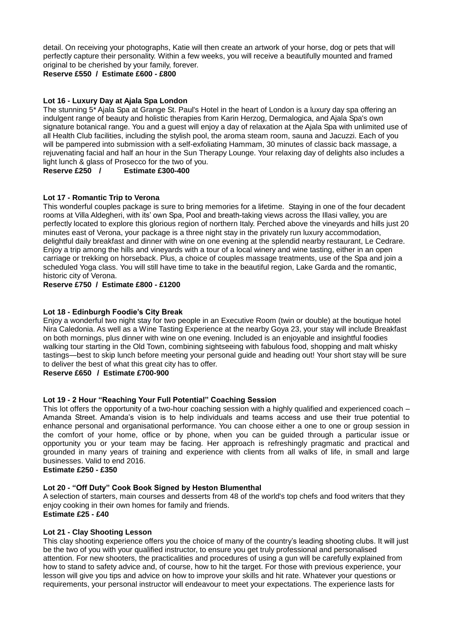detail. On receiving your photographs, Katie will then create an artwork of your horse, dog or pets that will perfectly capture their personality. Within a few weeks, you will receive a beautifully mounted and framed original to be cherished by your family, forever.

**Reserve £550 / Estimate £600 - £800**

# **Lot 16 - Luxury Day at Ajala Spa London**

The stunning 5\* Ajala Spa at Grange St. Paul's Hotel in the heart of London is a luxury day spa offering an indulgent range of beauty and holistic therapies from Karin Herzog, Dermalogica, and Ajala Spa's own signature botanical range. You and a guest will enjoy a day of relaxation at the Ajala Spa with unlimited use of all Health Club facilities, including the stylish pool, the aroma steam room, sauna and Jacuzzi. Each of you will be pampered into submission with a self-exfoliating Hammam, 30 minutes of classic back massage, a rejuvenating facial and half an hour in the Sun Therapy Lounge. Your relaxing day of delights also includes a light lunch & glass of Prosecco for the two of you.

**Reserve £250 / Estimate £300-400**

# **Lot 17 - Romantic Trip to Verona**

This wonderful couples package is sure to bring memories for a lifetime. Staying in one of the four decadent rooms at Villa Aldegheri, with its' own Spa, Pool and breath-taking views across the Illasi valley, you are perfectly located to explore this glorious region of northern Italy. Perched above the vineyards and hills just 20 minutes east of Verona, your package is a three night stay in the privately run luxury accommodation, delightful daily breakfast and dinner with wine on one evening at the splendid nearby restaurant, Le Cedrare. Enjoy a trip among the hills and vineyards with a tour of a local winery and wine tasting, either in an open carriage or trekking on horseback. Plus, a choice of couples massage treatments, use of the Spa and join a scheduled Yoga class. You will still have time to take in the beautiful region, Lake Garda and the romantic, historic city of Verona.

## **Reserve £750 / Estimate £800 - £1200**

## **Lot 18 - Edinburgh Foodie's City Break**

Enjoy a wonderful two night stay for two people in an Executive Room (twin or double) at the boutique hotel Nira Caledonia. As well as a Wine Tasting Experience at the nearby Goya 23, your stay will include Breakfast on both mornings, plus dinner with wine on one evening. Included is an enjoyable and insightful foodies walking tour starting in the Old Town, combining sightseeing with fabulous food, shopping and malt whisky tastings—best to skip lunch before meeting your personal guide and heading out! Your short stay will be sure to deliver the best of what this great city has to offer.

# **Reserve £650 / Estimate £700-900**

## **Lot 19 - 2 Hour "Reaching Your Full Potential" Coaching Session**

This lot offers the opportunity of a two-hour coaching session with a highly qualified and experienced coach – Amanda Street. Amanda's vision is to help individuals and teams access and use their true potential to enhance personal and organisational performance. You can choose either a one to one or group session in the comfort of your home, office or by phone, when you can be guided through a particular issue or opportunity you or your team may be facing. Her approach is refreshingly pragmatic and practical and grounded in many years of training and experience with clients from all walks of life, in small and large businesses. Valid to end 2016.

**Estimate £250 - £350**

# **Lot 20 - "Off Duty" Cook Book Signed by Heston Blumenthal**

A selection of starters, main courses and desserts from 48 of the world's top chefs and food writers that they enjoy cooking in their own homes for family and friends.

# **Estimate £25 - £40**

## **Lot 21 - Clay Shooting Lesson**

This clay shooting experience offers you the choice of many of the country's leading shooting clubs. It will just be the two of you with your qualified instructor, to ensure you get truly professional and personalised attention. For new shooters, the practicalities and procedures of using a gun will be carefully explained from how to stand to safety advice and, of course, how to hit the target. For those with previous experience, your lesson will give you tips and advice on how to improve your skills and hit rate. Whatever your questions or requirements, your personal instructor will endeavour to meet your expectations. The experience lasts for